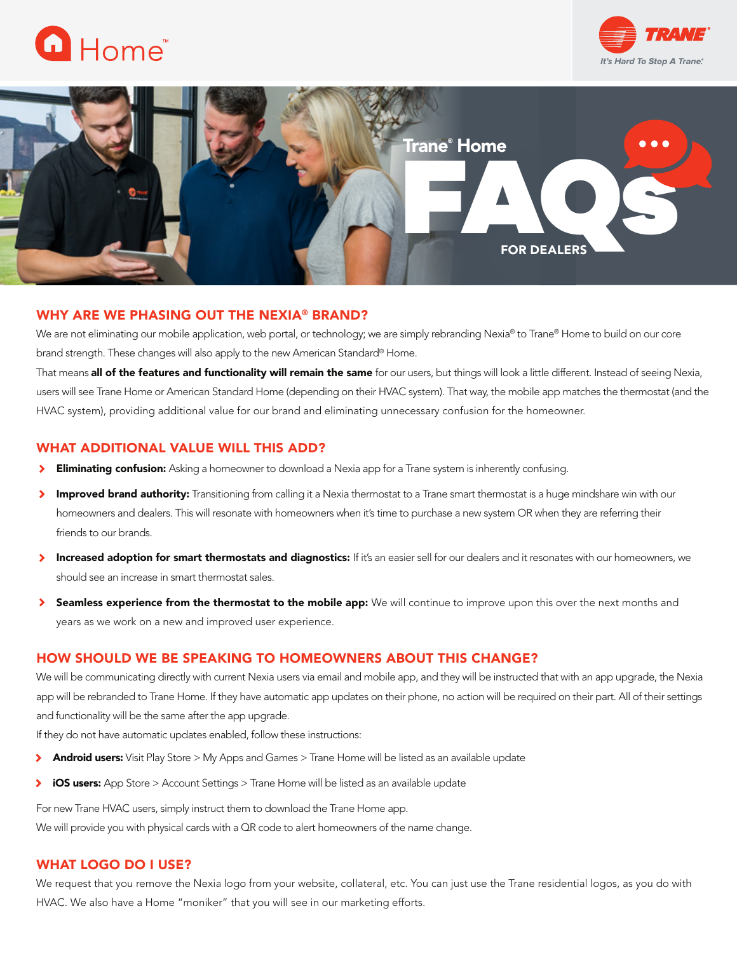





## WHY ARE WE PHASING OUT THE NEXIA® BRAND?

We are not eliminating our mobile application, web portal, or technology; we are simply rebranding Nexia® to Trane® Home to build on our core brand strength. These changes will also apply to the new American Standard® Home.

That means all of the features and functionality will remain the same for our users, but things will look a little different. Instead of seeing Nexia, users will see Trane Home or American Standard Home (depending on their HVAC system). That way, the mobile app matches the thermostat (and the HVAC system), providing additional value for our brand and eliminating unnecessary confusion for the homeowner.

## WHAT ADDITIONAL VALUE WILL THIS ADD?

- $\blacktriangleright$ **Eliminating confusion:** Asking a homeowner to download a Nexia app for a Trane system is inherently confusing.
- × Improved brand authority: Transitioning from calling it a Nexia thermostat to a Trane smart thermostat is a huge mindshare win with our homeowners and dealers. This will resonate with homeowners when it's time to purchase a new system OR when they are referring their friends to our brands.
- Increased adoption for smart thermostats and diagnostics: If it's an easier sell for our dealers and it resonates with our homeowners, we  $\blacktriangleright$ should see an increase in smart thermostat sales.
- Seamless experience from the thermostat to the mobile app: We will continue to improve upon this over the next months and years as we work on a new and improved user experience.

## HOW SHOULD WE BE SPEAKING TO HOMEOWNERS ABOUT THIS CHANGE?

We will be communicating directly with current Nexia users via email and mobile app, and they will be instructed that with an app upgrade, the Nexia app will be rebranded to Trane Home. If they have automatic app updates on their phone, no action will be required on their part. All of their settings and functionality will be the same after the app upgrade.

If they do not have automatic updates enabled, follow these instructions:

- Android users: Visit Play Store > My Apps and Games > Trane Home will be listed as an available update  $\blacktriangleright$
- $\blacktriangleright$ iOS users: App Store > Account Settings > Trane Home will be listed as an available update

For new Trane HVAC users, simply instruct them to download the Trane Home app. We will provide you with physical cards with a QR code to alert homeowners of the name change.

## WHAT LOGO DO I USE?

We request that you remove the Nexia logo from your website, collateral, etc. You can just use the Trane residential logos, as you do with HVAC. We also have a Home "moniker" that you will see in our marketing efforts.